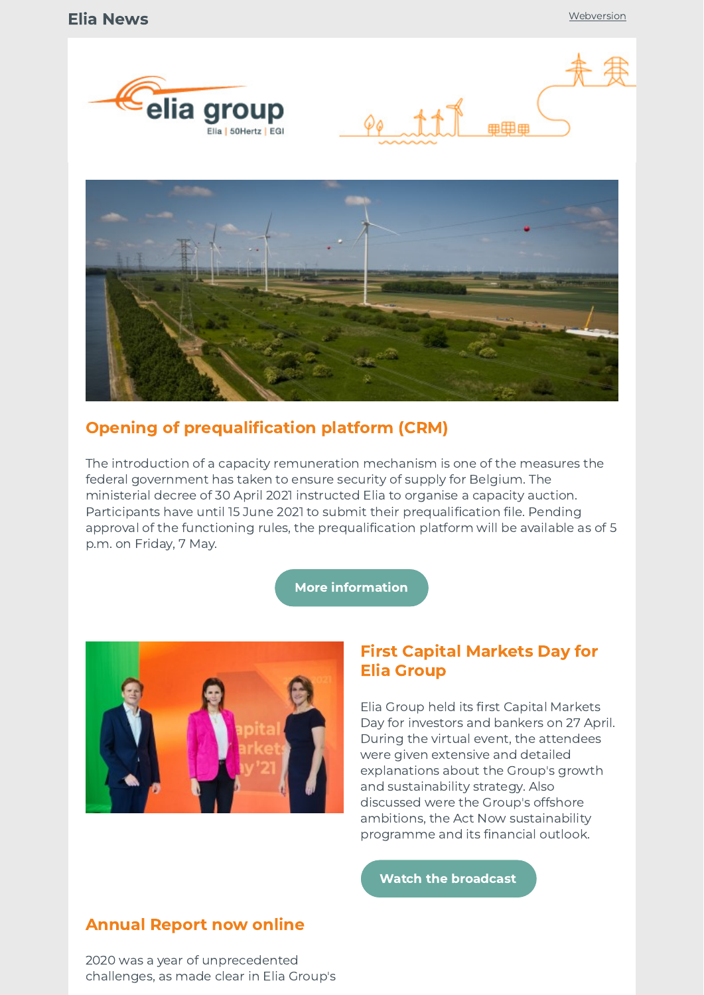





## Opening of prequalification platform (CRM)

The introduction of a capacity remuneration mechanism is one of the measures the federal government has taken to ensure security of supply for Belgium. The ministerial decree of 30 April 2021 instructed Elia to organise a capacity auction. Participants have until 15 June 2021 to submit their prequalification file. Pending approval of the functioning rules, the prequalification platform will be available as of 5 p.m. on Friday, 7 May.

#### More [information](http://link.newsletters.elia.be/mm/LC_7309_1083525_XPRHMBB2ZDLF_48707_PlxvMTPvBql6WBT8iZQIjqKoMwh40gusUUrfyeYFG6gPg76TpTN7Bewi9ifeXhuIQCLkqFkATKlNsH3CyTeY8+4pgqhwCUioQKXJLVKdSm4cG1wqyf1WkEf-IXl-xY02Q0Ly3it1jKEfgfCzqUCUW1d04L3+X6aswsmraQUM65s=.act)



### First Capital Markets Day for Elia Group

Elia Group held its first Capital Markets Day for investors and bankers on 27 April. During the virtual event, the attendees were given extensive and detailed explanations about the Group's growth and sustainability strategy. Also discussed were the Group's offshore ambitions, the Act Now sustainability programme and its financial outlook.

Watch the [broadcast](http://link.newsletters.elia.be/mm/LC_7309_1083525_XPRHMBB2ZDLF_48708_sRm1bLeLjmKZdRskNqdCJlKDeeRRJsZp-MmAqXoy9mRDUsoOJq8qmtckLsITCiIU-ovGZUiIVOjYROKRi0rzCg==.act)

## Annual Report now online

2020 was a year of unprecedented challenges, as made clear in Elia Group's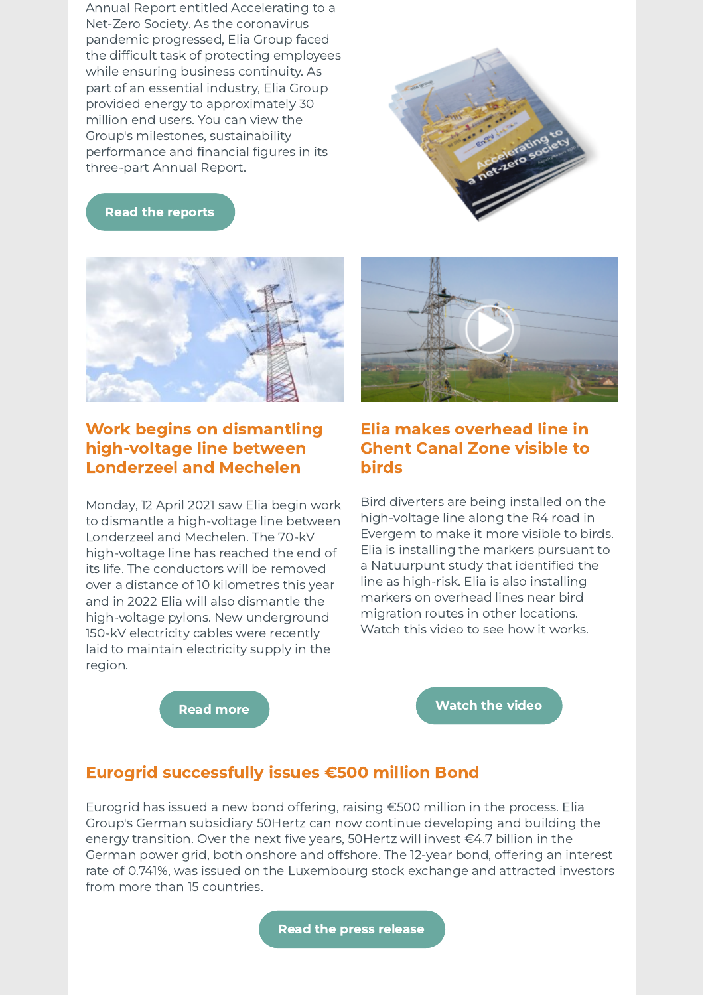Annual Report entitled Accelerating to a Net-Zero Society. As the coronavirus pandemic progressed, Elia Group faced the difficult task of protecting employees while ensuring business continuity. As part of an essential industry, Elia Group provided energy to approximately 30 million end users. You can view the Group's milestones, sustainability performance and financial figures in its three-part Annual Report.



Read the [reports](http://link.newsletters.elia.be/mm/LC_7309_1083525_XPRHMBB2ZDLF_48709_5tWHuFBahfSgE2pV4amlqX+lCkH88gqV9jyMGXGRgdVmGz9qf+9JdrkIQurgtBbOSbI+bgOsTXzTkek6xP2-5bko3e6pGIbxzoBEwLMcvMI=.act)



## Work begins on dismantling high-voltage line between Londerzeel and Mechelen

Monday, 12 April 2021 saw Elia begin work to dismantle a high-voltage line between Londerzeel and Mechelen. The 70-kV high-voltage line has reached the end of its life. The conductors will be removed over a distance of 10 kilometres this year and in 2022 Elia will also dismantle the high-voltage pylons. New underground 150-kV electricity cables were recently laid to maintain electricity supply in the region.



## Elia makes overhead line in Ghent Canal Zone visible to birds

Bird diverters are being installed on the high-voltage line along the R4 road in Evergem to make it more visible to birds. Elia is installing the markers pursuant to a Natuurpunt study that identified the line as high-risk. Elia is also installing markers on overhead lines near bird migration routes in other locations. Watch this video to see how it works.

Read [more](http://link.newsletters.elia.be/mm/LC_7309_1083525_XPRHMBB2ZDLF_48710_R2XfYmlRcFgYe1x+9t0g3ic6d5H1XUCG3j+f8Zg8W8ZC4VdjDICqD1wgnxr+2hGrMYByj306QZCGHjvyOg7o6hdjFfMHni3dkZkO1Kb1KnOdC-yt3op4M4HycAWI9XBnh5UlX6Z1LWCV6jKZeoKtwio5wCtuy8yddKDG1AKvDvPiqf1hxyxmLW95RxGiabWFPvRWDb889UbGPouQPW66oepUgTQkud5HTWp4Z3UQPkQ=.act)

[Watch](http://link.newsletters.elia.be/mm/LC_7309_1083525_XPRHMBB2ZDLF_48711_VDLi0fp7jbZGnEfTbDjY5jqVzay4UG6qIst-La93s-eTiQBs2r4V2NCvmPpj6MonA2cfV16vfslqe5AIVK7x+A==.act) the video

### Eurogrid successfully issues €500 million Bond

Eurogrid has issued a new bond offering, raising €500 million in the process. Elia Group's German subsidiary 50Hertz can now continue developing and building the energy transition. Over the next five years, 50Hertz will invest €4.7 billion in the German power grid, both onshore and offshore. The 12-year bond, offering an interest rate of 0.741%, was issued on the Luxembourg stock exchange and attracted investors from more than 15 countries.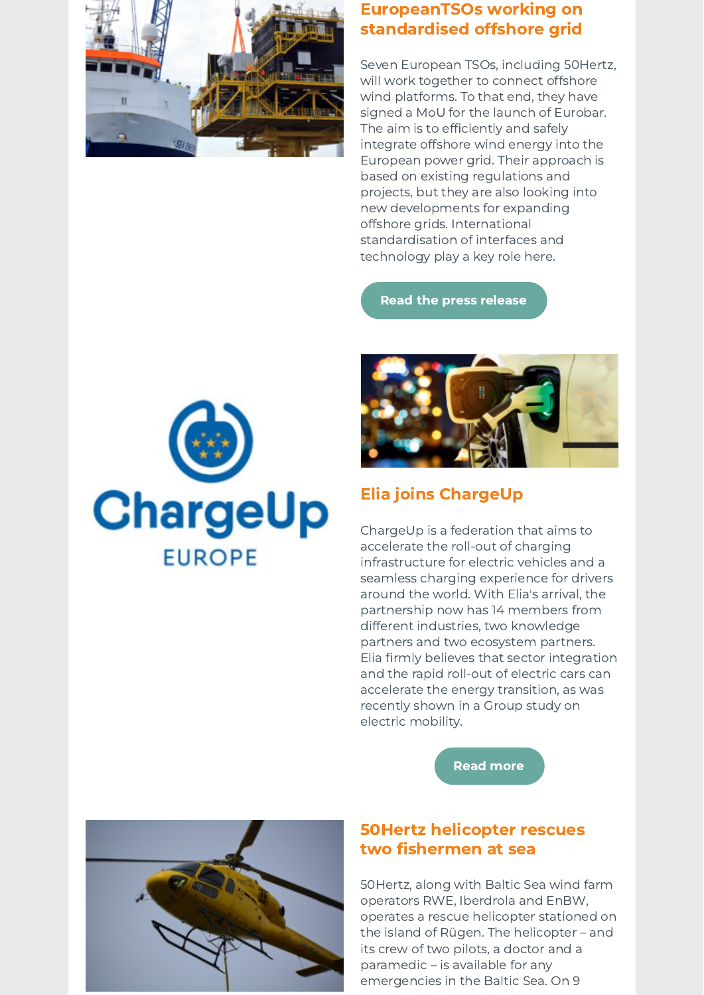

## EuropeanTSOs working on standardised offshore grid

Seven European TSOs, including 50Hertz, will work together to connect offshore wind platforms. To that end, they have signed a MoU for the launch of Eurobar. The aim is to efficiently and safely integrate offshore wind energy into the European power grid. Their approach is based on existing regulations and projects, but they are also looking into new developments for expanding offshore grids. International standardisation of interfaces and technology play a key role here.

Read the press [release](http://link.newsletters.elia.be/mm/LC_7309_1083525_XPRHMBB2ZDLF_48708_GgTnA4H0eswGp1+azLiyTYB40k9v-d7AlOjWL0G+mYytNt+06tciTEwQuh9-zx9eTacbL9pHUDzsKLK3V1+4BGTGCayh6oxIY2pXOcd4T9Lfg9hColV+OrgS7QEPFo6XTjZSEcbAbSNZyJc7QLPDCz6ho4zFb4cR8q3BEukbCpqioiwCPNO+kTpgmG1d8TCOig0xZO40yZqI47wVDmY-nA==.act)





# Elia joins ChargeUp

ChargeUp is a federation that aims to accelerate the roll-out of charging infrastructure for electric vehicles and a seamless charging experience for drivers around the world. With Elia's arrival, the partnership now has 14 members from different industries, two knowledge partners and two ecosystem partners. Elia firmly believes that sector integration and the rapid roll-out of electric cars can accelerate the energy transition, as was recently shown in a Group study on electric mobility.





## 50Hertz helicopter rescues two fishermen at sea

50Hertz, along with Baltic Sea wind farm operators RWE, Iberdrola and EnBW, operates a rescue helicopter stationed on the island of Rügen. The helicopter – and its crew of two pilots, a doctor and a paramedic – is available for any emergencies in the Baltic Sea. On 9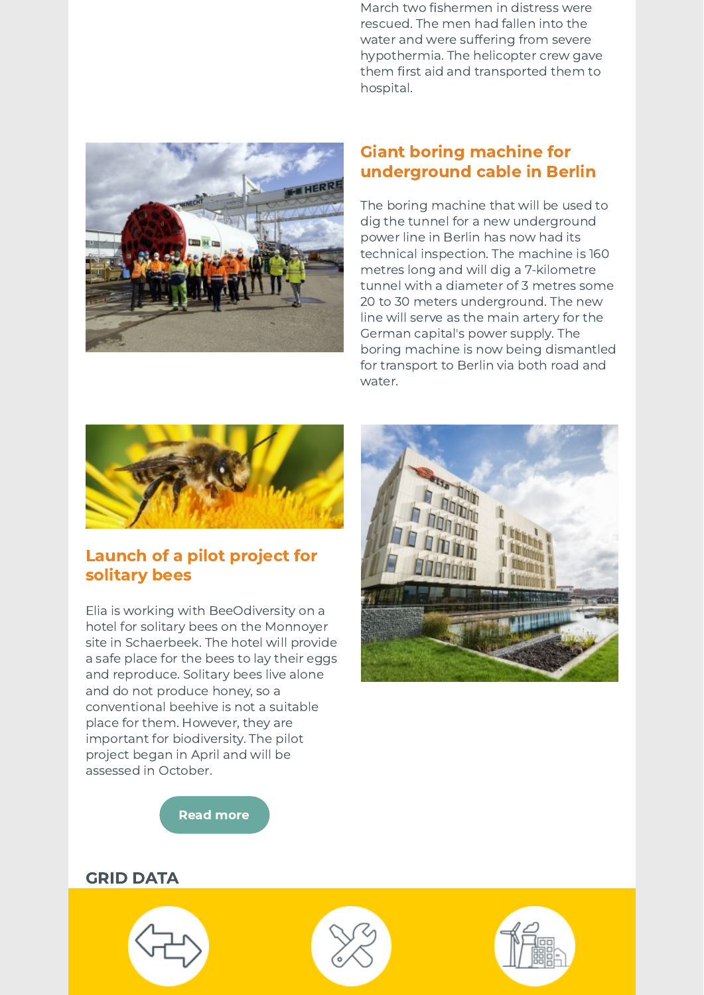March two fishermen in distress were rescued. The men had fallen into the water and were suffering from severe hypothermia. The helicopter crew gave them first aid and transported them to hospital.



## Giant boring machine for underground cable in Berlin

The boring machine that will be used to dig the tunnel for a new underground power line in Berlin has now had its technical inspection. The machine is 160 metres long and will dig a 7-kilometre tunnel with a diameter of 3 metres some 20 to 30 meters underground. The new line will serve as the main artery for the German capital's power supply. The boring machine is now being dismantled for transport to Berlin via both road and water.



## Launch of a pilot project for solitary bees

Elia is working with BeeOdiversity on a hotel for solitary bees on the Monnoyer site in Schaerbeek. The hotel will provide a safe place for the bees to lay their eggs and reproduce. Solitary bees live alone and do not produce honey, so a conventional beehive is not a suitable place for them. However, they are important for biodiversity. The pilot project began in April and will be assessed in October.



Read [more](http://link.newsletters.elia.be/mm/LC_7309_1083525_XPRHMBB2ZDLF_48714_4dttosJO06TSm0WZfgZVM3WtmwaNk9bqvlmmY-f7SNPFGlRWMf5m9dN2pIy19QDH0vGRnpIFKURXH+Q6SzDuZfPtFi9-BDJ4Xf9ylXi3btY=.act)